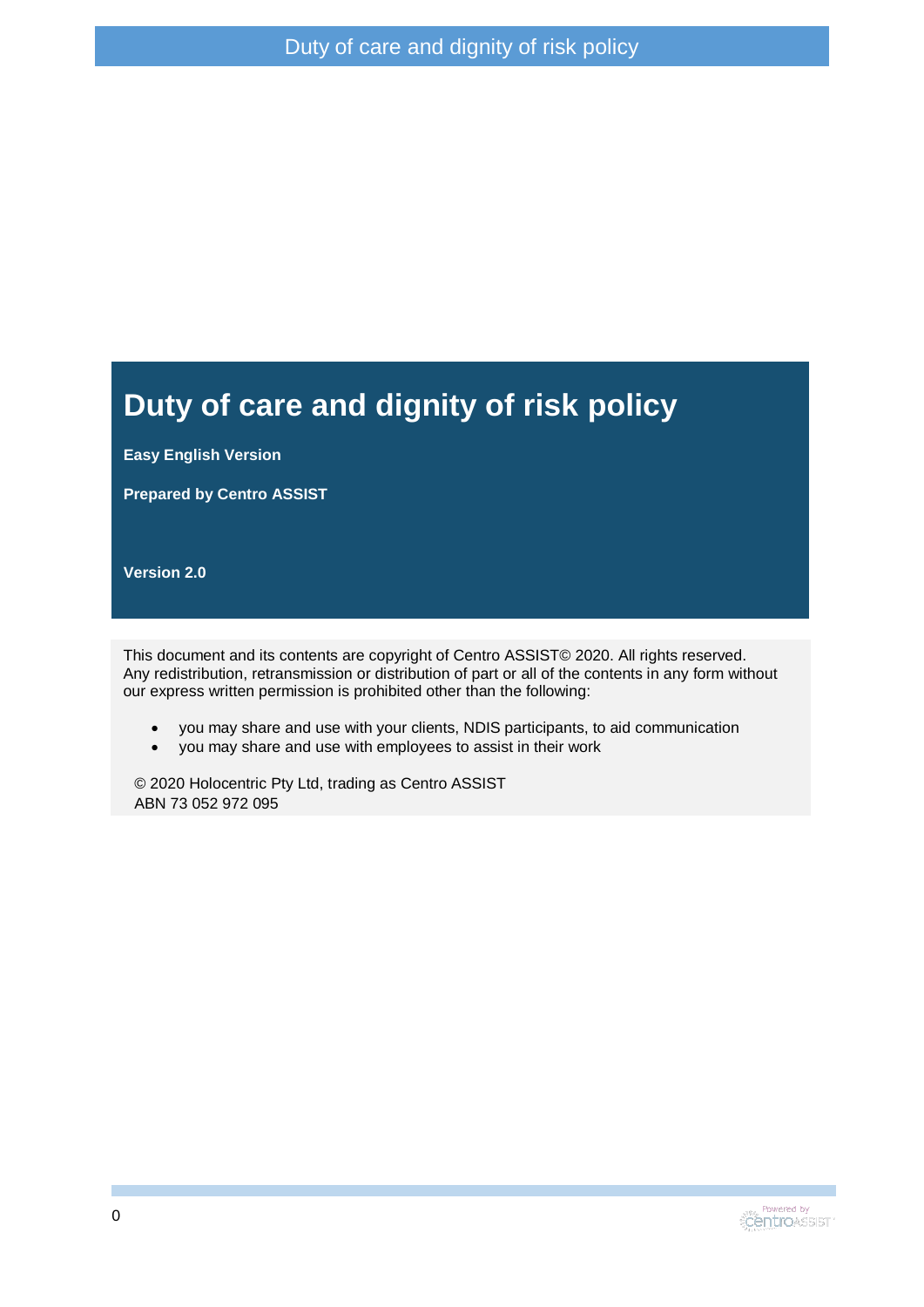#### **Duty of care and dignity of risk policy**

**Easy English Version**

**Prepared by Centro ASSIST**

**Version 2.0**

This document and its contents are copyright of Centro ASSIST© 2020. All rights reserved. Any redistribution, retransmission or distribution of part or all of the contents in any form without our express written permission is prohibited other than the following:

- you may share and use with your clients, NDIS participants, to aid communication
- you may share and use with employees to assist in their work

© 2020 Holocentric Pty Ltd, trading as Centro ASSIST ABN 73 052 972 095

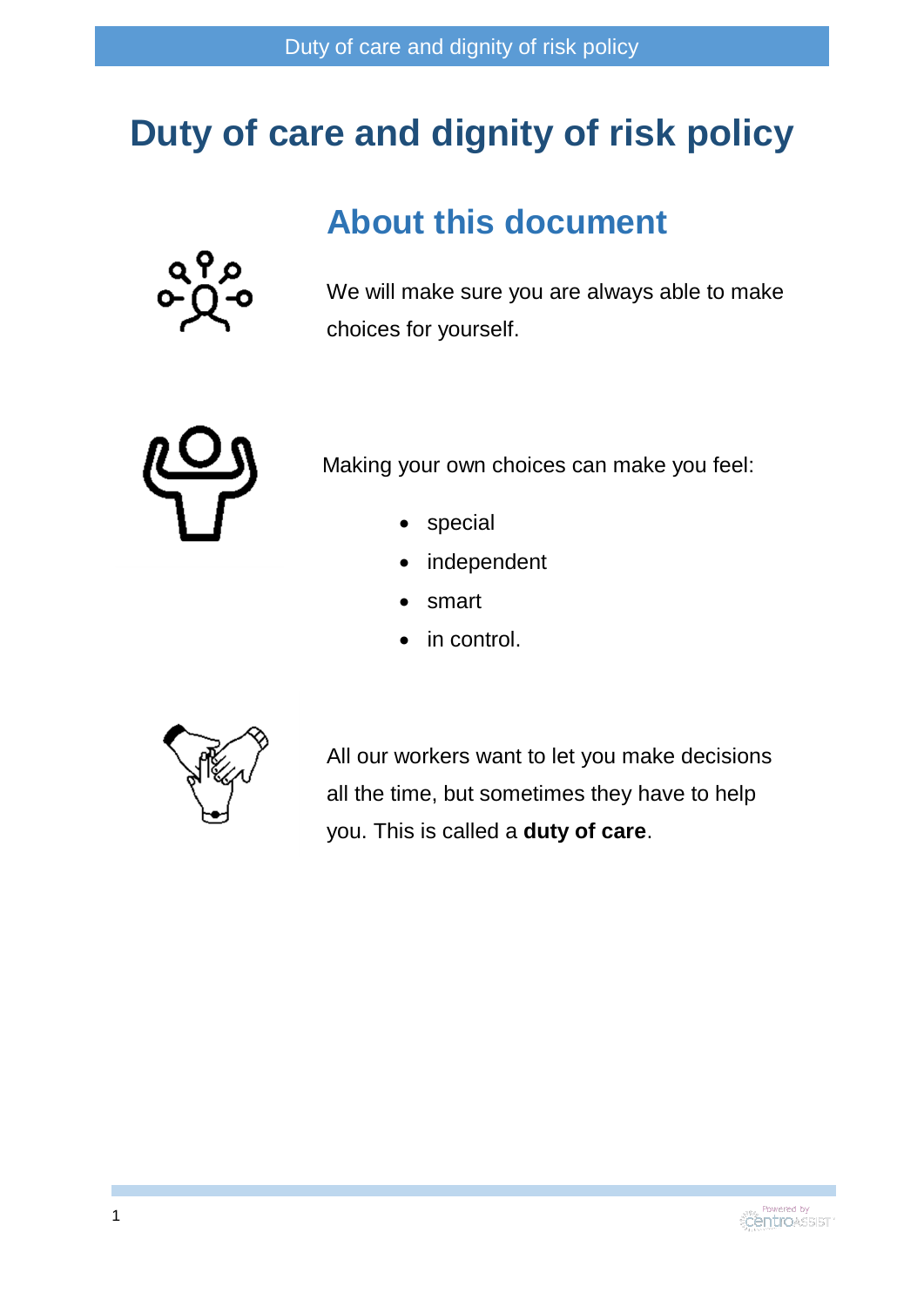# **Duty of care and dignity of risk policy**

### **About this document**



We will make sure you are always able to make choices for yourself.



Making your own choices can make you feel:

- special
- independent
- smart
- in control.



All our workers want to let you make decisions all the time, but sometimes they have to help you. This is called a **duty of care**.

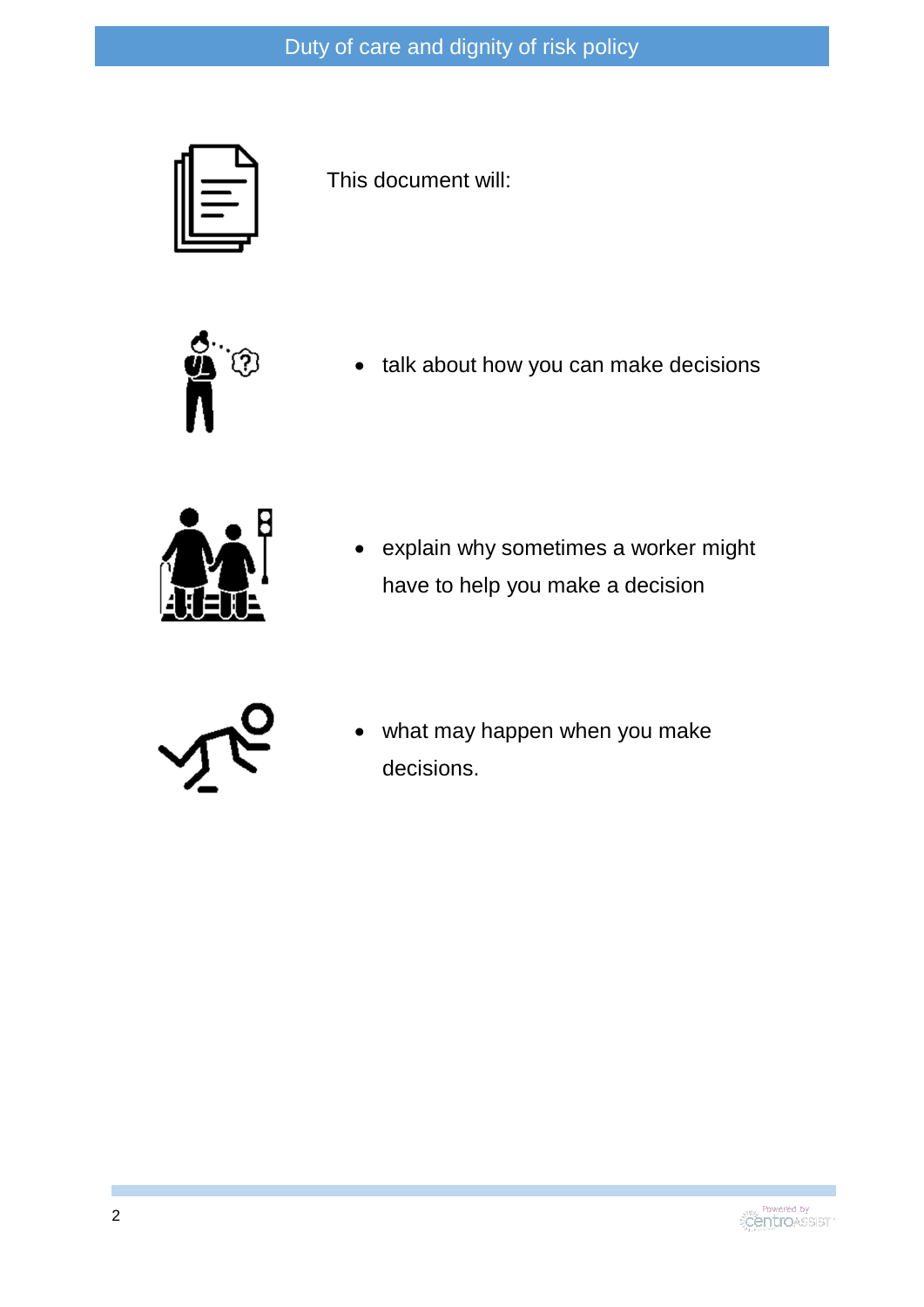

This document will:



• talk about how you can make decisions



 explain why sometimes a worker might have to help you make a decision



 what may happen when you make decisions.

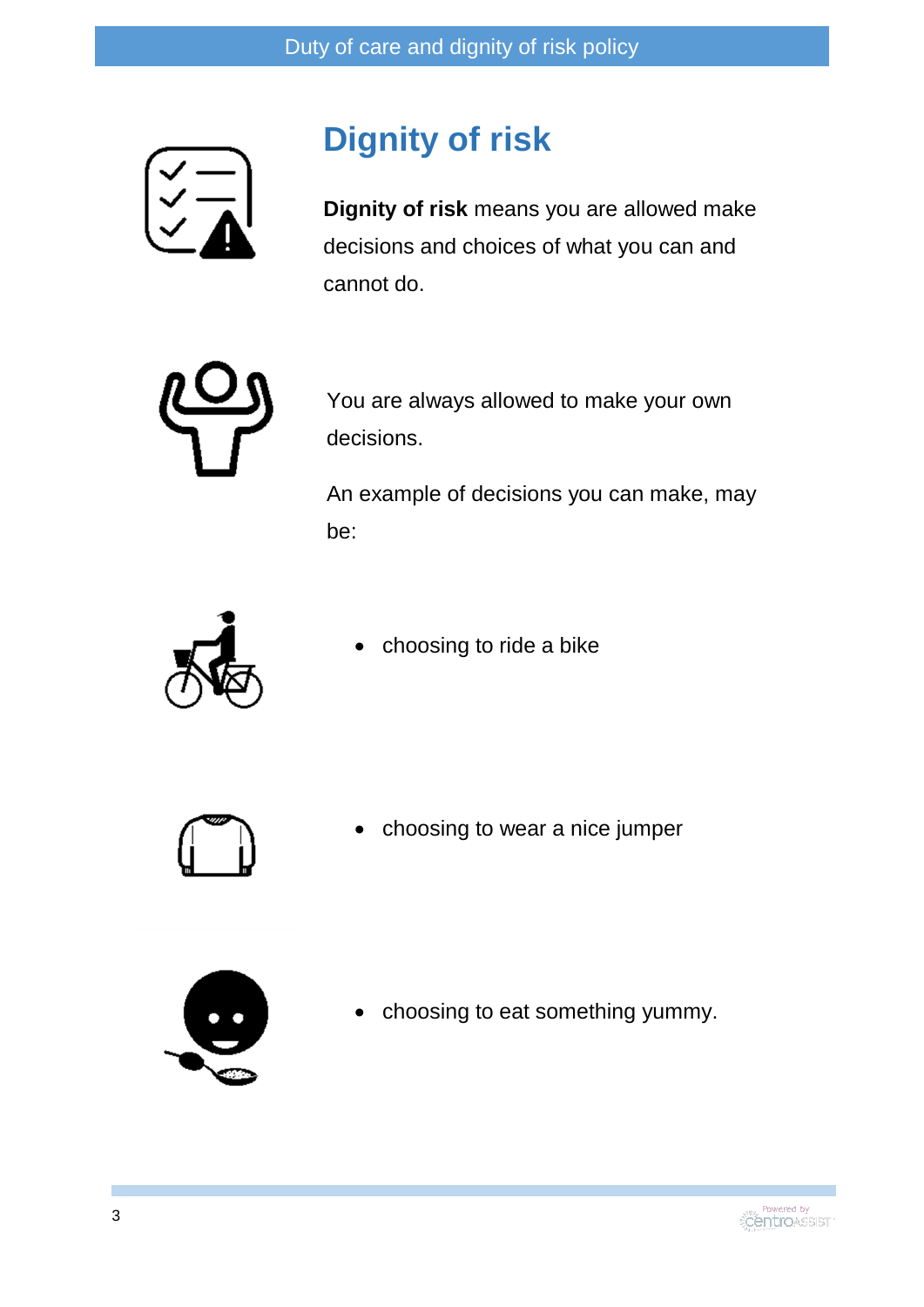

## **Dignity of risk**

**Dignity of risk** means you are allowed make decisions and choices of what you can and cannot do.



You are always allowed to make your own decisions.

An example of decisions you can make, may be:



choosing to ride a bike



choosing to wear a nice jumper



• choosing to eat something yummy.

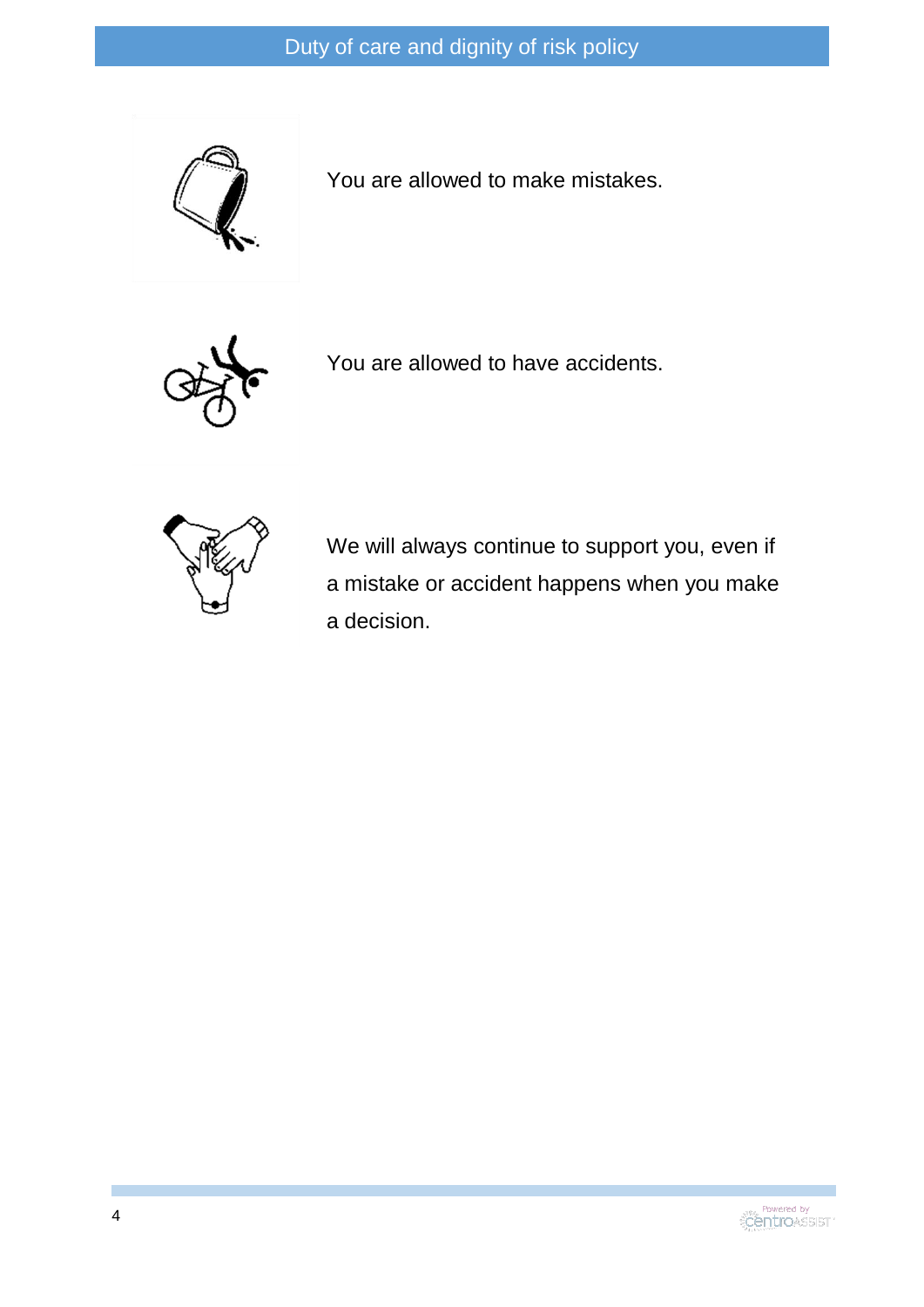

You are allowed to make mistakes.



You are allowed to have accidents.



We will always continue to support you, even if a mistake or accident happens when you make a decision.

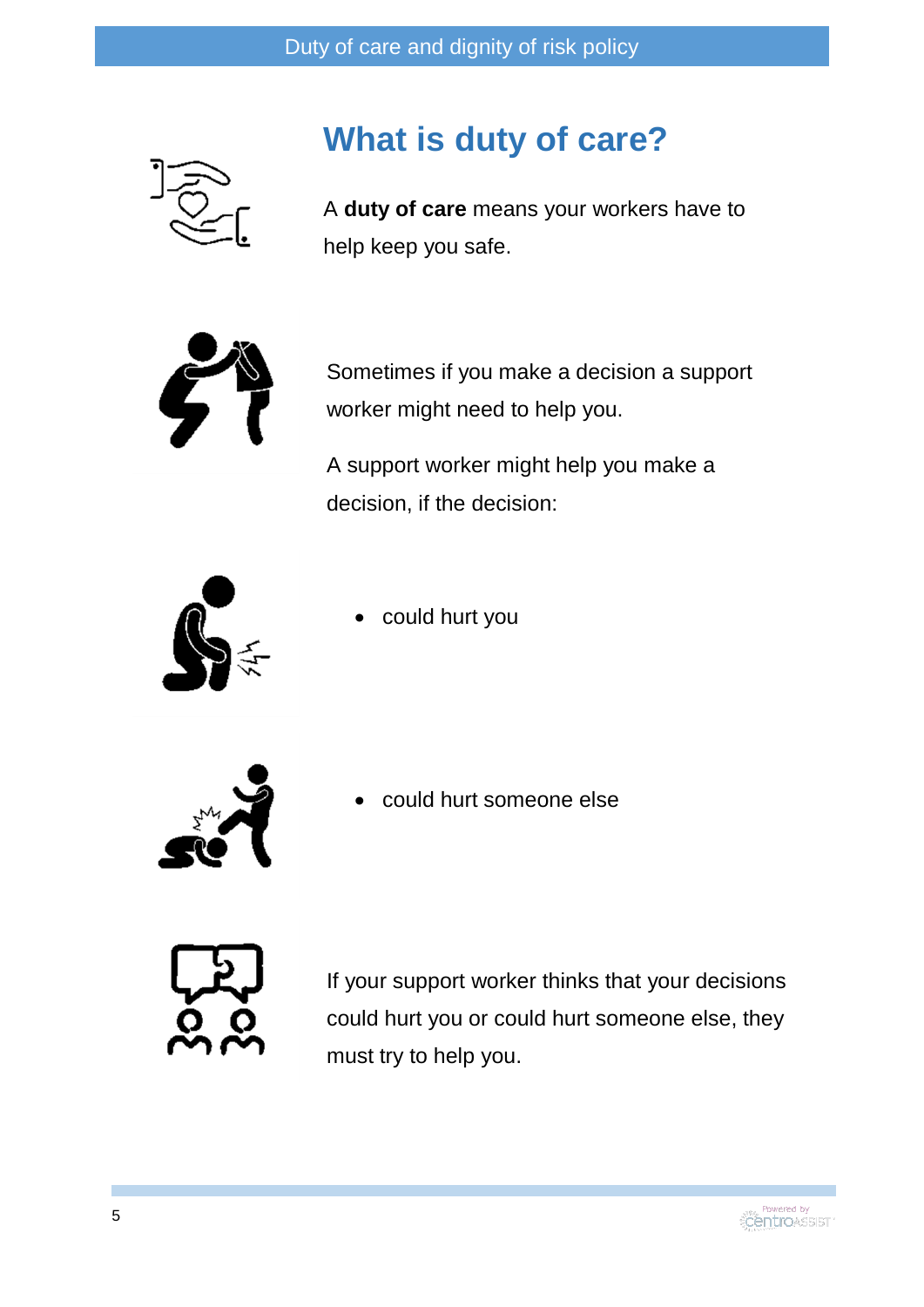

### **What is duty of care?**

A **duty of care** means your workers have to help keep you safe.



Sometimes if you make a decision a support worker might need to help you.

A support worker might help you make a decision, if the decision:



could hurt you



could hurt someone else



If your support worker thinks that your decisions could hurt you or could hurt someone else, they must try to help you.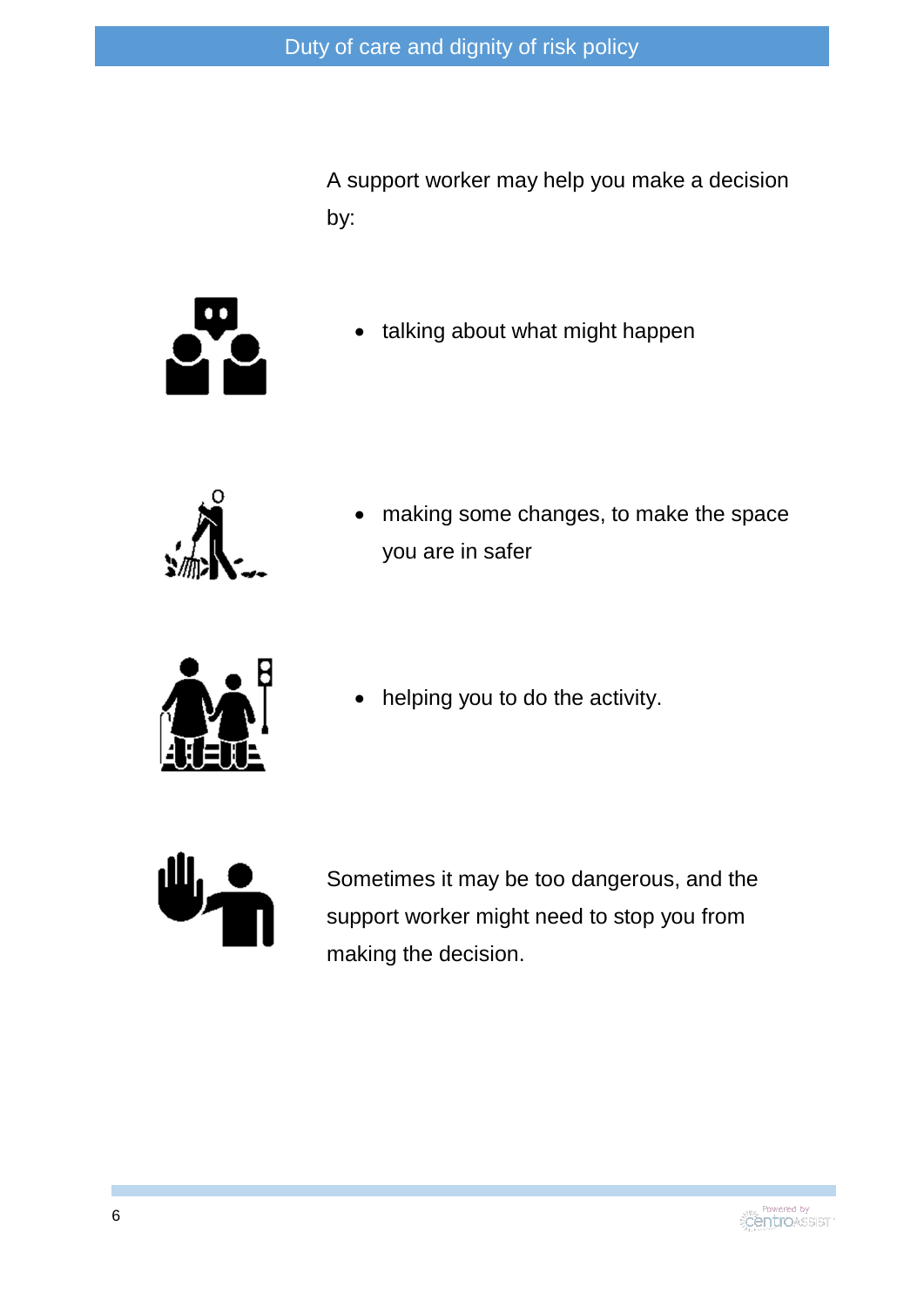A support worker may help you make a decision by:



• talking about what might happen



 making some changes, to make the space you are in safer



helping you to do the activity.



Sometimes it may be too dangerous, and the support worker might need to stop you from making the decision.

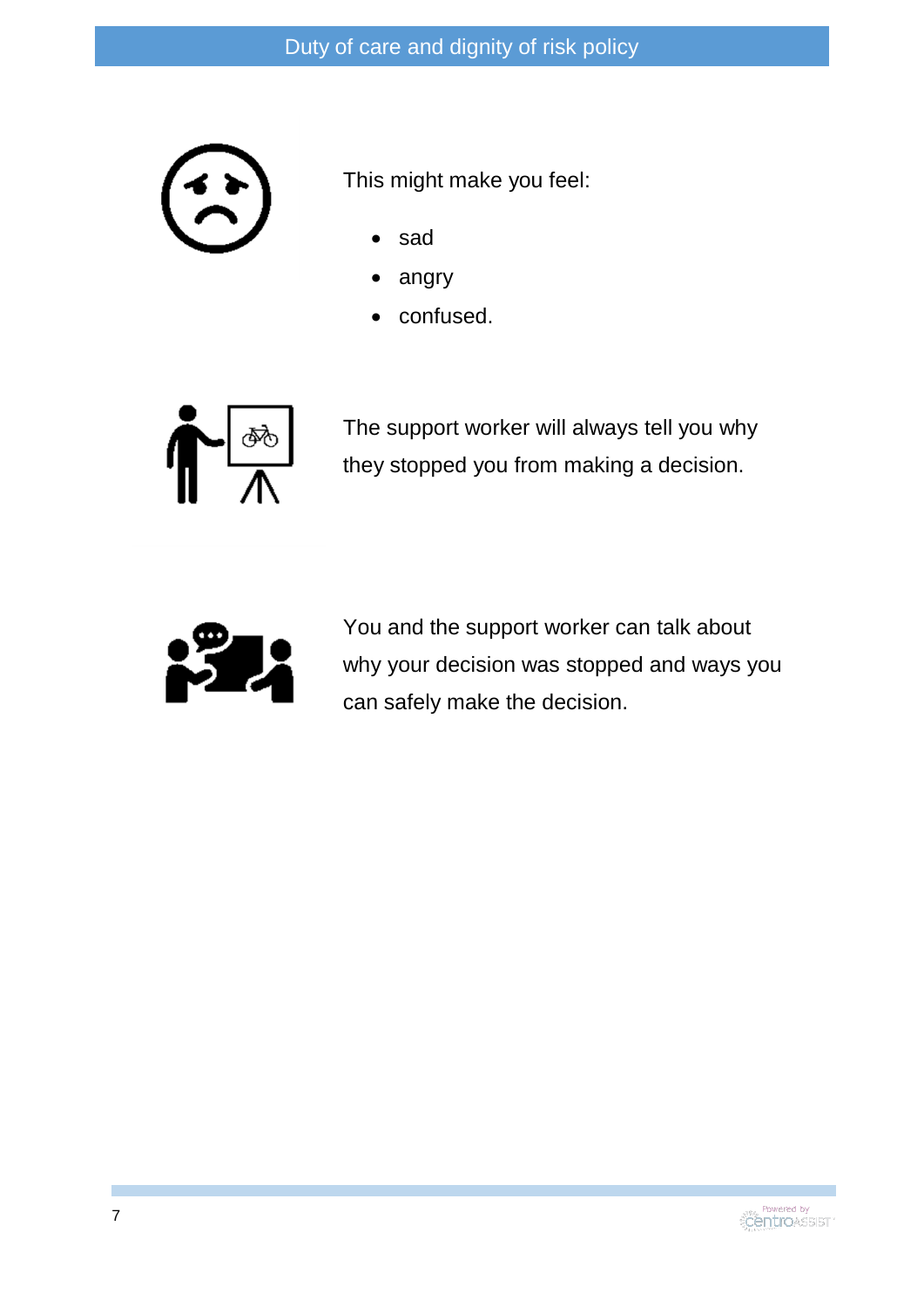

This might make you feel:

- sad
- angry
- confused.



The support worker will always tell you why they stopped you from making a decision.



You and the support worker can talk about why your decision was stopped and ways you can safely make the decision.